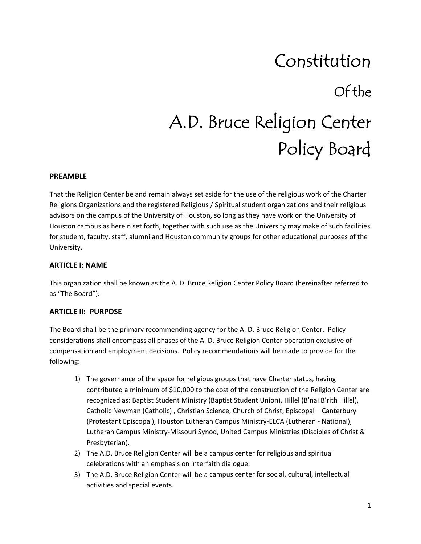## Constitution Of the A.D. Bruce Religion Center Policy Board

#### **PREAMBLE**

That the Religion Center be and remain always set aside for the use of the religious work of the Charter Religions Organizations and the registered Religious / Spiritual student organizations and their religious advisors on the campus of the University of Houston, so long as they have work on the University of Houston campus as herein set forth, together with such use as the University may make of such facilities for student, faculty, staff, alumni and Houston community groups for other educational purposes of the University.

#### **ARTICLE I: NAME**

This organization shall be known as the A. D. Bruce Religion Center Policy Board (hereinafter referred to as "The Board").

#### **ARTICLE II: PURPOSE**

The Board shall be the primary recommending agency for the A. D. Bruce Religion Center. Policy considerations shall encompass all phases of the A. D. Bruce Religion Center operation exclusive of compensation and employment decisions. Policy recommendations will be made to provide for the following:

- 1) The governance of the space for religious groups that have Charter status, having contributed a minimum of \$10,000 to the cost of the construction of the Religion Center are recognized as: Baptist Student Ministry (Baptist Student Union), Hillel (B'nai B'rith Hillel), Catholic Newman (Catholic) , Christian Science, Church of Christ, Episcopal – Canterbury (Protestant Episcopal), Houston Lutheran Campus Ministry‐ELCA (Lutheran ‐ National), Lutheran Campus Ministry‐Missouri Synod, United Campus Ministries (Disciples of Christ & Presbyterian).
- 2) The A.D. Bruce Religion Center will be a campus center for religious and spiritual celebrations with an emphasis on interfaith dialogue.
- 3) The A.D. Bruce Religion Center will be a campus center for social, cultural, intellectual activities and special events.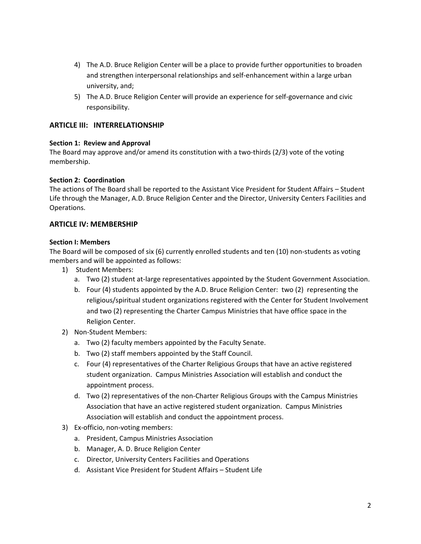- 4) The A.D. Bruce Religion Center will be a place to provide further opportunities to broaden and strengthen interpersonal relationships and self‐enhancement within a large urban university, and;
- 5) The A.D. Bruce Religion Center will provide an experience for self-governance and civic responsibility.

#### **ARTICLE III: INTERRELATIONSHIP**

#### **Section 1: Review and Approval**

The Board may approve and/or amend its constitution with a two-thirds (2/3) vote of the voting membership.

#### **Section 2: Coordination**

The actions of The Board shall be reported to the Assistant Vice President for Student Affairs – Student Life through the Manager, A.D. Bruce Religion Center and the Director, University Centers Facilities and Operations.

#### **ARTICLE IV: MEMBERSHIP**

#### **Section I: Members**

The Board will be composed of six (6) currently enrolled students and ten (10) non‐students as voting members and will be appointed as follows:

- 1) Student Members:
	- a. Two (2) student at-large representatives appointed by the Student Government Association.
	- b. Four (4) students appointed by the A.D. Bruce Religion Center: two (2) representing the religious/spiritual student organizations registered with the Center for Student Involvement and two (2) representing the Charter Campus Ministries that have office space in the Religion Center.
- 2) Non‐Student Members:
	- a. Two (2) faculty members appointed by the Faculty Senate.
	- b. Two (2) staff members appointed by the Staff Council.
	- c. Four (4) representatives of the Charter Religious Groups that have an active registered student organization. Campus Ministries Association will establish and conduct the appointment process.
	- d. Two (2) representatives of the non‐Charter Religious Groups with the Campus Ministries Association that have an active registered student organization. Campus Ministries Association will establish and conduct the appointment process.
- 3) Ex‐officio, non‐voting members:
	- a. President, Campus Ministries Association
	- b. Manager, A. D. Bruce Religion Center
	- c. Director, University Centers Facilities and Operations
	- d. Assistant Vice President for Student Affairs Student Life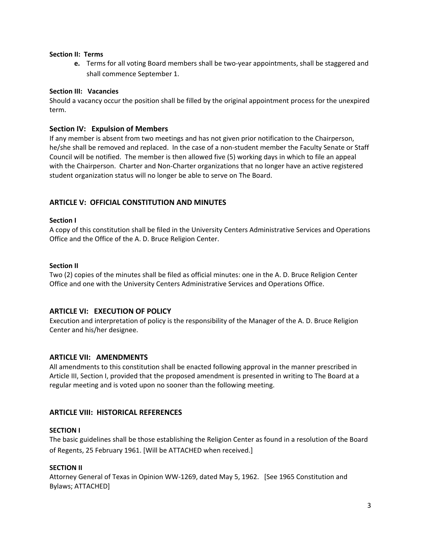#### **Section II: Terms**

**e.** Terms for all voting Board members shall be two-year appointments, shall be staggered and shall commence September 1.

#### **Section III: Vacancies**

Should a vacancy occur the position shall be filled by the original appointment process for the unexpired term.

#### **Section IV: Expulsion of Members**

If any member is absent from two meetings and has not given prior notification to the Chairperson, he/she shall be removed and replaced. In the case of a non‐student member the Faculty Senate or Staff Council will be notified. The member is then allowed five (5) working days in which to file an appeal with the Chairperson. Charter and Non-Charter organizations that no longer have an active registered student organization status will no longer be able to serve on The Board.

#### **ARTICLE V: OFFICIAL CONSTITUTION AND MINUTES**

#### **Section I**

A copy of this constitution shall be filed in the University Centers Administrative Services and Operations Office and the Office of the A. D. Bruce Religion Center.

#### **Section II**

Two (2) copies of the minutes shall be filed as official minutes: one in the A. D. Bruce Religion Center Office and one with the University Centers Administrative Services and Operations Office.

#### **ARTICLE VI: EXECUTION OF POLICY**

Execution and interpretation of policy is the responsibility of the Manager of the A. D. Bruce Religion Center and his/her designee.

#### **ARTICLE VII: AMENDMENTS**

All amendments to this constitution shall be enacted following approval in the manner prescribed in Article III, Section I, provided that the proposed amendment is presented in writing to The Board at a regular meeting and is voted upon no sooner than the following meeting.

#### **ARTICLE VIII: HISTORICAL REFERENCES**

#### **SECTION I**

The basic guidelines shall be those establishing the Religion Center as found in a resolution of the Board of Regents, 25 February 1961. [Will be ATTACHED when received.]

#### **SECTION II**

Attorney General of Texas in Opinion WW‐1269, dated May 5, 1962. [See 1965 Constitution and Bylaws; ATTACHED]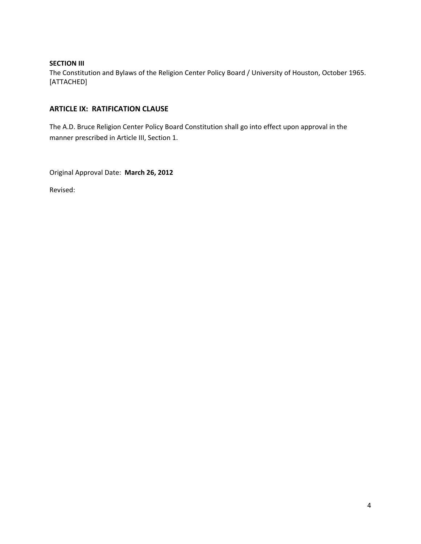#### **SECTION III**

The Constitution and Bylaws of the Religion Center Policy Board / University of Houston, October 1965. [ATTACHED]

#### **ARTICLE IX: RATIFICATION CLAUSE**

The A.D. Bruce Religion Center Policy Board Constitution shall go into effect upon approval in the manner prescribed in Article III, Section 1.

Original Approval Date: **March 26, 2012**

Revised: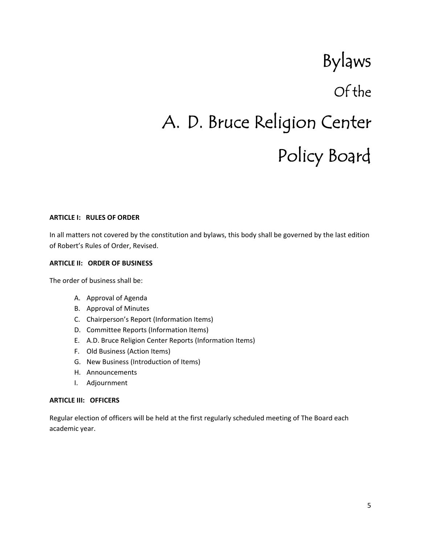# Bylaws Of the A. D. Bruce Religion Center Policy Board

#### **ARTICLE I: RULES OF ORDER**

In all matters not covered by the constitution and bylaws, this body shall be governed by the last edition of Robert's Rules of Order, Revised.

#### **ARTICLE II: ORDER OF BUSINESS**

The order of business shall be:

- A. Approval of Agenda
- B. Approval of Minutes
- C. Chairperson's Report (Information Items)
- D. Committee Reports (Information Items)
- E. A.D. Bruce Religion Center Reports (Information Items)
- F. Old Business (Action Items)
- G. New Business (Introduction of Items)
- H. Announcements
- I. Adjournment

#### **ARTICLE III: OFFICERS**

Regular election of officers will be held at the first regularly scheduled meeting of The Board each academic year.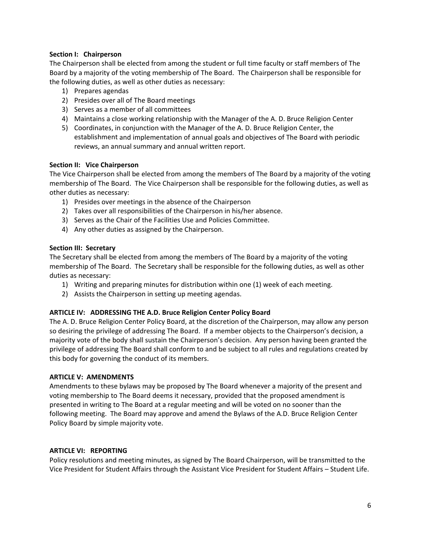#### **Section I: Chairperson**

The Chairperson shall be elected from among the student or full time faculty or staff members of The Board by a majority of the voting membership of The Board. The Chairperson shall be responsible for the following duties, as well as other duties as necessary:

- 1) Prepares agendas
- 2) Presides over all of The Board meetings
- 3) Serves as a member of all committees
- 4) Maintains a close working relationship with the Manager of the A. D. Bruce Religion Center
- 5) Coordinates, in conjunction with the Manager of the A. D. Bruce Religion Center, the establishment and implementation of annual goals and objectives of The Board with periodic reviews, an annual summary and annual written report.

#### **Section II: Vice Chairperson**

The Vice Chairperson shall be elected from among the members of The Board by a majority of the voting membership of The Board. The Vice Chairperson shall be responsible for the following duties, as well as other duties as necessary:

- 1) Presides over meetings in the absence of the Chairperson
- 2) Takes over all responsibilities of the Chairperson in his/her absence.
- 3) Serves as the Chair of the Facilities Use and Policies Committee.
- 4) Any other duties as assigned by the Chairperson.

#### **Section III: Secretary**

The Secretary shall be elected from among the members of The Board by a majority of the voting membership of The Board. The Secretary shall be responsible for the following duties, as well as other duties as necessary:

- 1) Writing and preparing minutes for distribution within one (1) week of each meeting.
- 2) Assists the Chairperson in setting up meeting agendas.

#### **ARTICLE IV: ADDRESSING THE A.D. Bruce Religion Center Policy Board**

The A. D. Bruce Religion Center Policy Board, at the discretion of the Chairperson, may allow any person so desiring the privilege of addressing The Board. If a member objects to the Chairperson's decision, a majority vote of the body shall sustain the Chairperson's decision. Any person having been granted the privilege of addressing The Board shall conform to and be subject to all rules and regulations created by this body for governing the conduct of its members.

#### **ARTICLE V: AMENDMENTS**

Amendments to these bylaws may be proposed by The Board whenever a majority of the present and voting membership to The Board deems it necessary, provided that the proposed amendment is presented in writing to The Board at a regular meeting and will be voted on no sooner than the following meeting. The Board may approve and amend the Bylaws of the A.D. Bruce Religion Center Policy Board by simple majority vote.

#### **ARTICLE VI: REPORTING**

Policy resolutions and meeting minutes, as signed by The Board Chairperson, will be transmitted to the Vice President for Student Affairs through the Assistant Vice President for Student Affairs – Student Life.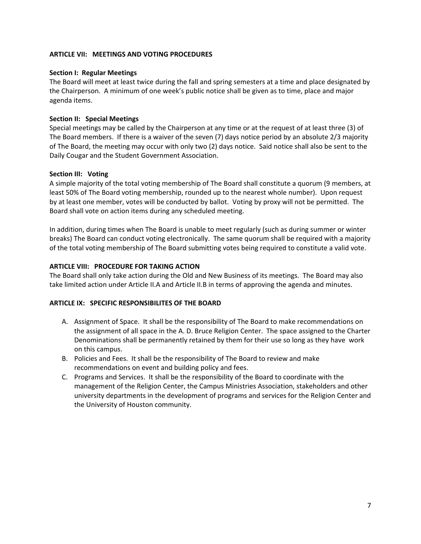#### **ARTICLE VII: MEETINGS AND VOTING PROCEDURES**

#### **Section I: Regular Meetings**

The Board will meet at least twice during the fall and spring semesters at a time and place designated by the Chairperson. A minimum of one week's public notice shall be given as to time, place and major agenda items.

#### **Section II: Special Meetings**

Special meetings may be called by the Chairperson at any time or at the request of at least three (3) of The Board members. If there is a waiver of the seven (7) days notice period by an absolute 2/3 majority of The Board, the meeting may occur with only two (2) days notice. Said notice shall also be sent to the Daily Cougar and the Student Government Association.

#### **Section III: Voting**

A simple majority of the total voting membership of The Board shall constitute a quorum (9 members, at least 50% of The Board voting membership, rounded up to the nearest whole number). Upon request by at least one member, votes will be conducted by ballot. Voting by proxy will not be permitted. The Board shall vote on action items during any scheduled meeting.

In addition, during times when The Board is unable to meet regularly (such as during summer or winter breaks) The Board can conduct voting electronically. The same quorum shall be required with a majority of the total voting membership of The Board submitting votes being required to constitute a valid vote.

#### **ARTICLE VIII: PROCEDURE FOR TAKING ACTION**

The Board shall only take action during the Old and New Business of its meetings. The Board may also take limited action under Article II.A and Article II.B in terms of approving the agenda and minutes.

#### **ARTICLE IX: SPECIFIC RESPONSIBILITES OF THE BOARD**

- A. Assignment of Space. It shall be the responsibility of The Board to make recommendations on the assignment of all space in the A. D. Bruce Religion Center. The space assigned to the Charter Denominations shall be permanently retained by them for their use so long as they have work on this campus.
- B. Policies and Fees. It shall be the responsibility of The Board to review and make recommendations on event and building policy and fees.
- C. Programs and Services. It shall be the responsibility of the Board to coordinate with the management of the Religion Center, the Campus Ministries Association, stakeholders and other university departments in the development of programs and services for the Religion Center and the University of Houston community.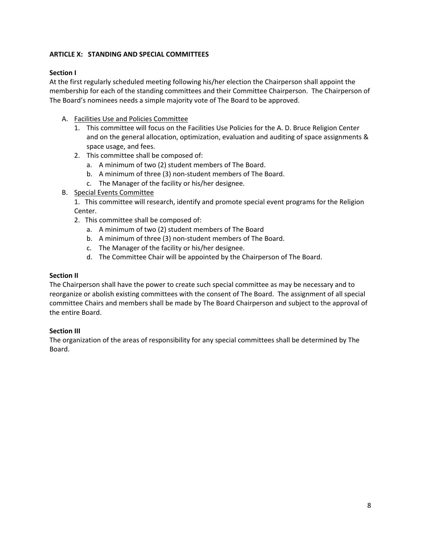#### **ARTICLE X: STANDING AND SPECIAL COMMITTEES**

#### **Section I**

At the first regularly scheduled meeting following his/her election the Chairperson shall appoint the membership for each of the standing committees and their Committee Chairperson. The Chairperson of The Board's nominees needs a simple majority vote of The Board to be approved.

- A. Facilities Use and Policies Committee
	- 1. This committee will focus on the Facilities Use Policies for the A. D. Bruce Religion Center and on the general allocation, optimization, evaluation and auditing of space assignments & space usage, and fees.
	- 2. This committee shall be composed of:
		- a. A minimum of two (2) student members of The Board.
		- b. A minimum of three (3) non‐student members of The Board.
		- c. The Manager of the facility or his/her designee.
- B. Special Events Committee

1. This committee will research, identify and promote special event programs for the Religion Center.

- 2. This committee shall be composed of:
	- a. A minimum of two (2) student members of The Board
	- b. A minimum of three (3) non‐student members of The Board.
	- c. The Manager of the facility or his/her designee.
	- d. The Committee Chair will be appointed by the Chairperson of The Board.

#### **Section II**

The Chairperson shall have the power to create such special committee as may be necessary and to reorganize or abolish existing committees with the consent of The Board. The assignment of all special committee Chairs and members shall be made by The Board Chairperson and subject to the approval of the entire Board.

#### **Section III**

The organization of the areas of responsibility for any special committees shall be determined by The Board.